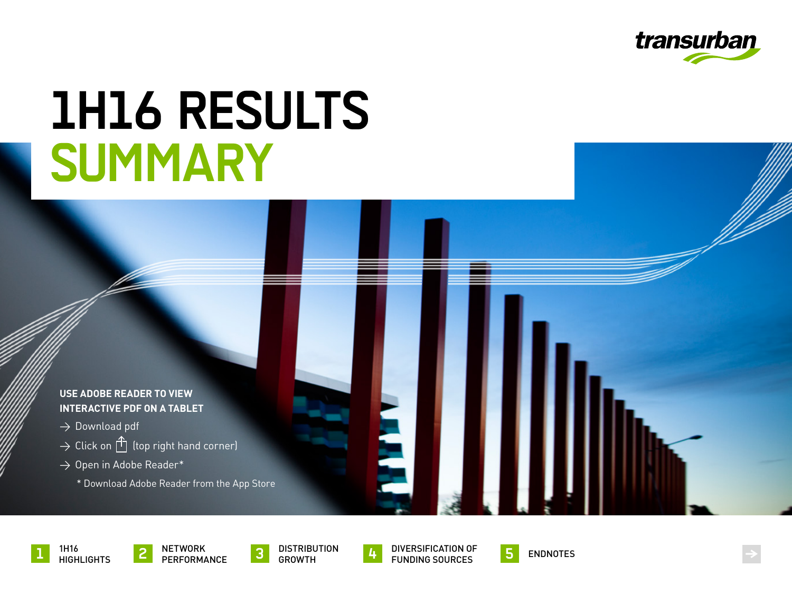

# <span id="page-0-0"></span>**1H16 RESULTS SUMMARY**

#### **USE ADOBE READER TO VIEW INTERACTIVE PDF ON A TABLET**

- $\rightarrow$  Download pdf
- $\rightarrow$  Click on  $\hat{I}$  (top right hand corner)
- $\rightarrow$  Open in Adobe Reader\*
	- \* Download Adobe Reader from the App Store



1H16 **1** HIGHLIGHTS





DIVERSIFICATION OF **4** FUNDING SOURCES **5** ENDNOTES



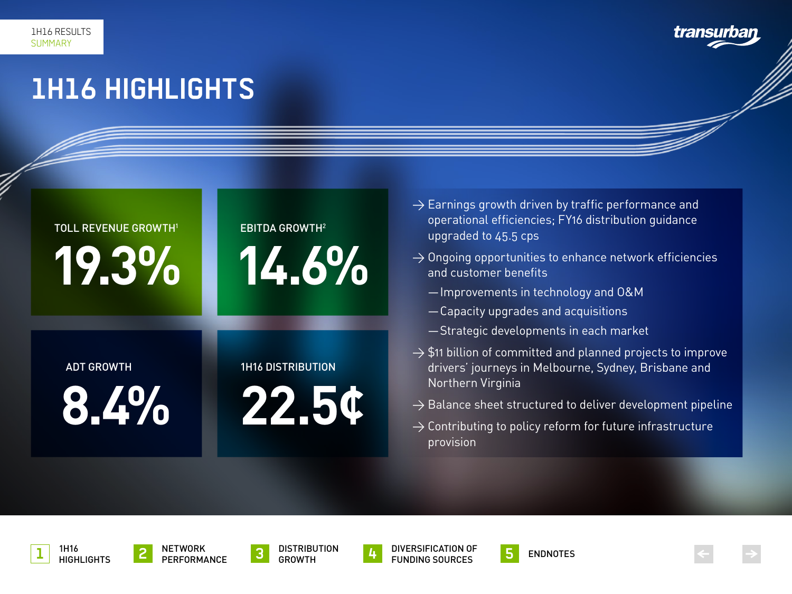### transurba

### <span id="page-1-0"></span>**1H16 HIGHLIGHTS**

Read footnote Read footnote

## **19.3%** TOLL REVENUE GROWTH1



- $\rightarrow$  Earnings growth driven by traffic performance and operational efficiencies; FY16 distribution guidance upgraded to 45.5 cps
- $\rightarrow$  Ongoing opportunities to enhance network efficiencies and customer benefits
	- —Improvements in technology and O&M
	- —Capacity upgrades and acquisitions
	- —Strategic developments in each market
- $\rightarrow$  \$11 billion of committed and planned projects to improve drivers' journeys in Melbourne, Sydney, Brisbane and Northern Virginia
- $\rightarrow$  Balance sheet structured to deliver development pipeline
- $\rightarrow$  Contributing to policy reform for future infrastructure provision

ADT GROWTH

**8.4%**

### 1H16 DISTRIBUTION

**22.5¢**













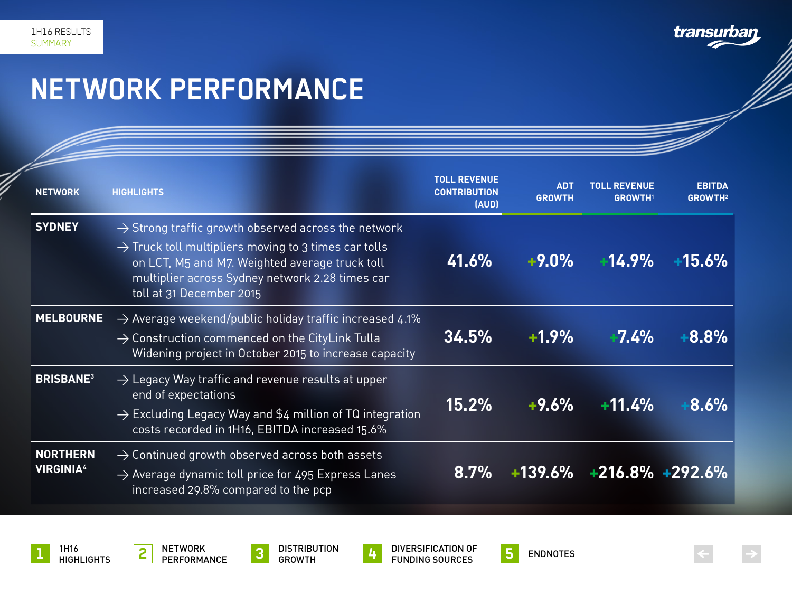transurban

### <span id="page-2-0"></span>**NETWORK PERFORMANCE**

| <b>NETWORK</b>                      | <b>HIGHLIGHTS</b>                                                                                                                                                                                                                                                    | <b>TOLL REVENUE</b><br><b>CONTRIBUTION</b><br>(AUD) | <b>ADT</b><br><b>GROWTH</b> | <b>TOLL REVENUE</b><br><b>GROWTH</b> | <b>EBITDA</b><br><b>GROWTH2</b> |
|-------------------------------------|----------------------------------------------------------------------------------------------------------------------------------------------------------------------------------------------------------------------------------------------------------------------|-----------------------------------------------------|-----------------------------|--------------------------------------|---------------------------------|
| <b>SYDNEY</b>                       | $\rightarrow$ Strong traffic growth observed across the network<br>$\rightarrow$ Truck toll multipliers moving to 3 times car tolls<br>on LCT, M5 and M7. Weighted average truck toll<br>multiplier across Sydney network 2.28 times car<br>toll at 31 December 2015 | 41.6%                                               | $+9.0\%$                    | $+14.9\%$                            | +15.6%                          |
| <b>MELBOURNE</b>                    | $\rightarrow$ Average weekend/public holiday traffic increased 4.1%<br>$\rightarrow$ Construction commenced on the CityLink Tulla<br>Widening project in October 2015 to increase capacity                                                                           | 34.5%                                               | $+1.9\%$                    | $-7.4\%$                             | $+8.8%$                         |
| <b>BRISBANE3</b>                    | $\rightarrow$ Legacy Way traffic and revenue results at upper<br>end of expectations<br>$\rightarrow$ Excluding Legacy Way and \$4 million of TQ integration<br>costs recorded in 1H16, EBITDA increased 15.6%                                                       | $15.2\%$                                            | $+9.6%$                     | $+11.4%$                             | 8.6%                            |
| <b>NORTHERN</b><br><b>VIRGINIA4</b> | $\rightarrow$ Continued growth observed across both assets<br>$\rightarrow$ Average dynamic toll price for 495 Express Lanes<br>increased 29.8% compared to the pcp                                                                                                  | $8.7\%$                                             |                             | $+139.6\%$ $+216.8\%$ $+292.6\%$     |                                 |









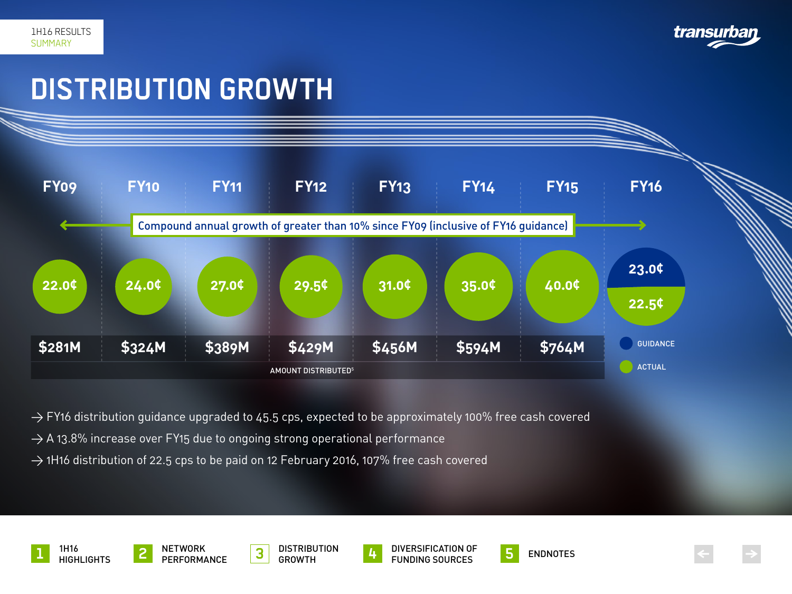

### <span id="page-3-0"></span>**DISTRIBUTION GROWTH**



 $\rightarrow$  FY16 distribution guidance upgraded to 45.5 cps, expected to be approximately 100% free cash covered

 $\rightarrow$  A 13.8% increase over FY15 due to ongoing strong operational performance

 $\rightarrow$  1H16 distribution of 22.5 cps to be paid on 12 February 2016, 107% free cash covered









**4** DIVERSIFICATION OF FUNDING SOURCES NETWORK **2** PERFORMANCE **5** ENDNOTES





**< >**

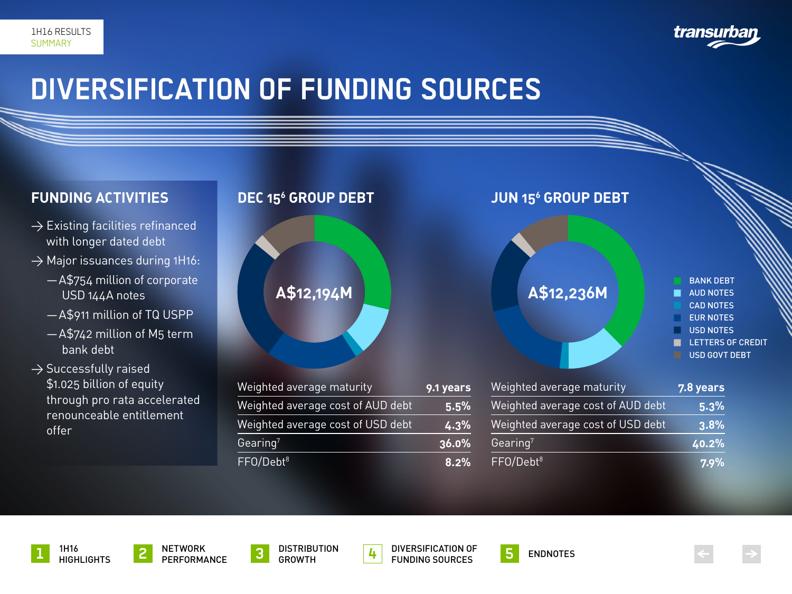

### <span id="page-4-0"></span>**DIVERSIFICATION OF FUNDING SOURCES**

### **FUNDING ACTIVITIES**

- $\rightarrow$  Existing facilities refinanced with longer dated debt
- $\rightarrow$  Major issuances during 1H16:
	- —A\$754 million of corporate USD 144A notes
	- —A\$911 million of TQ USPP
	- —A\$742 million of M5 term bank debt
- $\rightarrow$  Successfully raised \$1.025 billion of equity through pro rata accelerated renounceable entitlement offer



| Weighted average maturity         | 9.1 years | Weighted average mat  |
|-----------------------------------|-----------|-----------------------|
| Weighted average cost of AUD debt | 5.5%      | Weighted average cost |
| Weighted average cost of USD debt | 4.3%      | Weighted average cost |
| $\mathsf{Gearing}^7$              | 36.0%     | Gearing <sup>7</sup>  |
| FFO/Debt <sup>8</sup>             | 8.2%      | FFO/Debt <sup>8</sup> |



| Weighted average maturity         | 7.8 years |
|-----------------------------------|-----------|
| Weighted average cost of AUD debt | 5.3%      |
| Weighted average cost of USD debt | $ 3.8\% $ |
| Gearing <sup>7</sup>              | 40.2%     |
| FFO/Debt <sup>8</sup>             | $7.9\%$   |